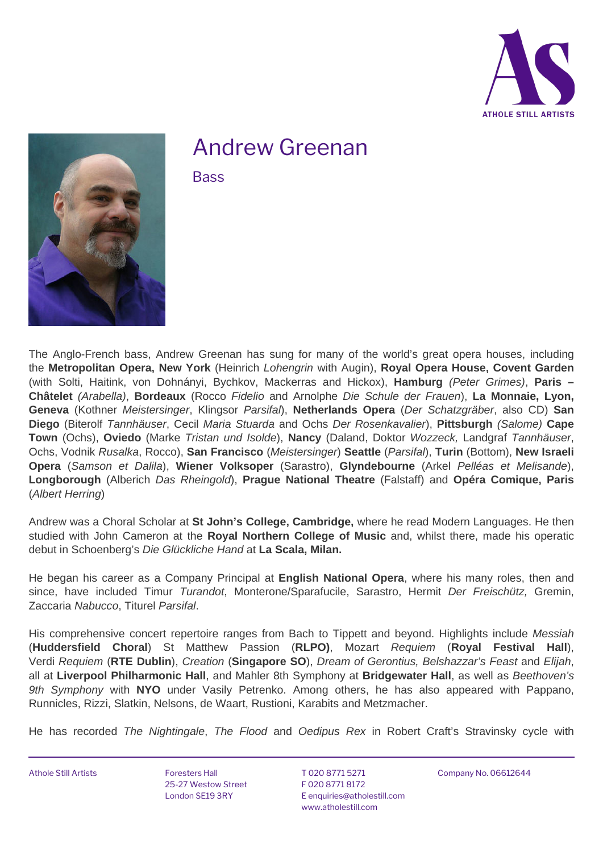



## Andrew Greenan

**Bass**

The Anglo-French bass, Andrew Greenan has sung for many of the world's great opera houses, including the **Metropolitan Opera, New York** (Heinrich Lohengrin with Augin), **Royal Opera House, Covent Garden** (with Solti, Haitink, von Dohnányi, Bychkov, Mackerras and Hickox), **Hamburg** (Peter Grimes), **Paris – Châtelet** (Arabella), **Bordeaux** (Rocco Fidelio and Arnolphe Die Schule der Frauen), **La Monnaie, Lyon, Geneva** (Kothner Meistersinger, Klingsor Parsifal), **Netherlands Opera** (Der Schatzgräber, also CD) **San Diego** (Biterolf Tannhäuser, Cecil Maria Stuarda and Ochs Der Rosenkavalier), **Pittsburgh** (Salome) **Cape Town** (Ochs), **Oviedo** (Marke Tristan und Isolde), **Nancy** (Daland, Doktor Wozzeck, Landgraf Tannhäuser, Ochs, Vodnik Rusalka, Rocco), **San Francisco** (Meistersinger) **Seattle** (Parsifal), **Turin** (Bottom), **New Israeli Opera** (Samson et Dalila), **Wiener Volksoper** (Sarastro), **Glyndebourne** (Arkel Pelléas et Melisande), **Longborough** (Alberich Das Rheingold), **Prague National Theatre** (Falstaff) and **Opéra Comique, Paris** (Albert Herring)

Andrew was a Choral Scholar at **St John's College, Cambridge,** where he read Modern Languages. He then studied with John Cameron at the **Royal Northern College of Music** and, whilst there, made his operatic debut in Schoenberg's Die Glückliche Hand at **La Scala, Milan.**

He began his career as a Company Principal at **English National Opera**, where his many roles, then and since, have included Timur Turandot, Monterone/Sparafucile, Sarastro, Hermit Der Freischütz, Gremin, Zaccaria Nabucco, Titurel Parsifal.

His comprehensive concert repertoire ranges from Bach to Tippett and beyond. Highlights include Messiah (**Huddersfield Choral**) St Matthew Passion (**RLPO)**, Mozart Requiem (**Royal Festival Hall**), Verdi Requiem (**RTE Dublin**), Creation (**Singapore SO**), Dream of Gerontius, Belshazzar's Feast and Elijah, all at **Liverpool Philharmonic Hall**, and Mahler 8th Symphony at **Bridgewater Hall**, as well as Beethoven's 9th Symphony with **NYO** under Vasily Petrenko. Among others, he has also appeared with Pappano, Runnicles, Rizzi, Slatkin, Nelsons, de Waart, Rustioni, Karabits and Metzmacher.

He has recorded The Nightingale, The Flood and Oedipus Rex in Robert Craft's Stravinsky cycle with

Athole Still Artists **Foresters Hall** 

25-27 Westow Street London SE19 3RY

T 020 8771 5271 F 020 8771 8172 E [enquiries@atholestill.com](mailto:enquiries@atholestill.com) [www.atholestill.com](http://www.atholestill.com)

Company No. 06612644